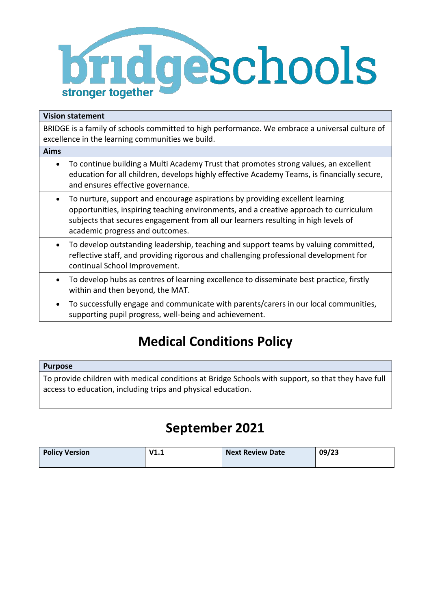

## **Vision statement**

BRIDGE is a family of schools committed to high performance. We embrace a universal culture of excellence in the learning communities we build.

| Aims      |                                                                                                                                                                                                                                                                                                 |
|-----------|-------------------------------------------------------------------------------------------------------------------------------------------------------------------------------------------------------------------------------------------------------------------------------------------------|
| $\bullet$ | To continue building a Multi Academy Trust that promotes strong values, an excellent<br>education for all children, develops highly effective Academy Teams, is financially secure,<br>and ensures effective governance.                                                                        |
|           | To nurture, support and encourage aspirations by providing excellent learning<br>opportunities, inspiring teaching environments, and a creative approach to curriculum<br>subjects that secures engagement from all our learners resulting in high levels of<br>academic progress and outcomes. |
|           | To develop outstanding leadership, teaching and support teams by valuing committed,<br>reflective staff, and providing rigorous and challenging professional development for<br>continual School Improvement.                                                                                   |
| $\bullet$ | To develop hubs as centres of learning excellence to disseminate best practice, firstly<br>within and then beyond, the MAT.                                                                                                                                                                     |
| $\bullet$ | To successfully engage and communicate with parents/carers in our local communities,<br>supporting pupil progress, well-being and achievement.                                                                                                                                                  |

# **Medical Conditions Policy**

## **Purpose**

To provide children with medical conditions at Bridge Schools with support, so that they have full access to education, including trips and physical education.

## **September 2021**

| <b>Policy Version</b> | V1.1 | <b>Next Review Date</b> | 09/23 |
|-----------------------|------|-------------------------|-------|
|                       |      |                         |       |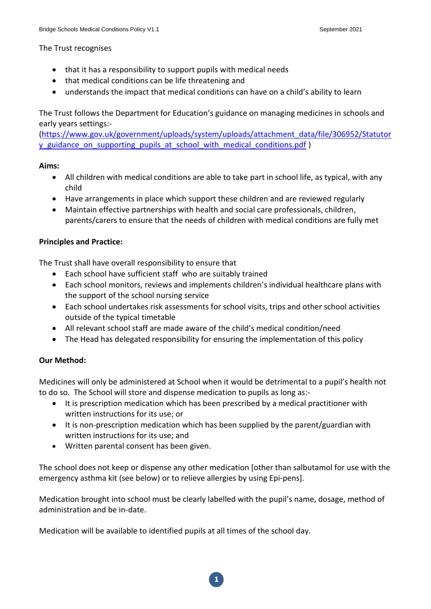The Trust recognises

- that it has a responsibility to support pupils with medical needs
- that medical conditions can be life threatening and
- understands the impact that medical conditions can have on a child's ability to learn

The Trust follows the Department for Education's guidance on managing medicines in schools and early years settings:-

[\(https://www.gov.uk/government/uploads/system/uploads/attachment\\_data/file/306952/Statutor](https://www.gov.uk/government/uploads/system/uploads/attachment_data/file/306952/Statutory_guidance_on_supporting_pupils_at_school_with_medical_conditions.pdf) y guidance on supporting pupils at school with medical conditions.pdf )

#### **Aims:**

- All children with medical conditions are able to take part in school life, as typical, with any child
- Have arrangements in place which support these children and are reviewed regularly
- Maintain effective partnerships with health and social care professionals, children, parents/carers to ensure that the needs of children with medical conditions are fully met

#### **Principles and Practice:**

The Trust shall have overall responsibility to ensure that

- Each school have sufficient staff who are suitably trained
- Each school monitors, reviews and implements children's individual healthcare plans with the support of the school nursing service
- Each school undertakes risk assessments for school visits, trips and other school activities outside of the typical timetable
- All relevant school staff are made aware of the child's medical condition/need
- The Head has delegated responsibility for ensuring the implementation of this policy

#### **Our Method:**

Medicines will only be administered at School when it would be detrimental to a pupil's health not to do so. The School will store and dispense medication to pupils as long as:-

- It is prescription medication which has been prescribed by a medical practitioner with written instructions for its use; or
- It is non-prescription medication which has been supplied by the parent/guardian with written instructions for its use; and
- Written parental consent has been given.

The school does not keep or dispense any other medication [other than salbutamol for use with the emergency asthma kit (see below) or to relieve allergies by using Epi-pens].

Medication brought into school must be clearly labelled with the pupil's name, dosage, method of administration and be in-date.

Medication will be available to identified pupils at all times of the school day.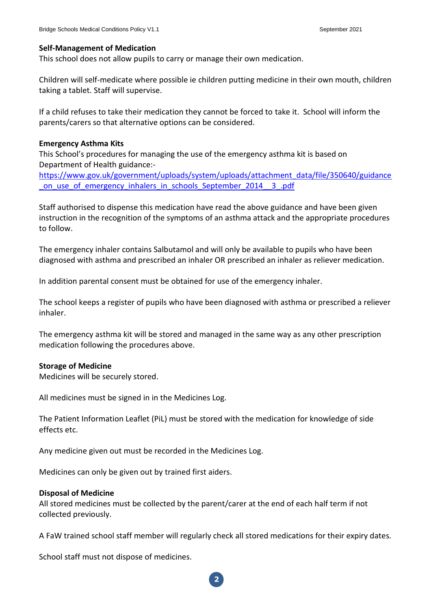#### **Self-Management of Medication**

This school does not allow pupils to carry or manage their own medication.

Children will self-medicate where possible ie children putting medicine in their own mouth, children taking a tablet. Staff will supervise.

If a child refuses to take their medication they cannot be forced to take it. School will inform the parents/carers so that alternative options can be considered.

#### **Emergency Asthma Kits**

This School's procedures for managing the use of the emergency asthma kit is based on Department of Health guidance:-

[https://www.gov.uk/government/uploads/system/uploads/attachment\\_data/file/350640/guidance](https://www.gov.uk/government/uploads/system/uploads/attachment_data/file/350640/guidance_on_use_of_emergency_inhalers_in_schools_September_2014__3_.pdf) on use of emergency inhalers in schools September 2014 - 3 .pdf

Staff authorised to dispense this medication have read the above guidance and have been given instruction in the recognition of the symptoms of an asthma attack and the appropriate procedures to follow.

The emergency inhaler contains Salbutamol and will only be available to pupils who have been diagnosed with asthma and prescribed an inhaler OR prescribed an inhaler as reliever medication.

In addition parental consent must be obtained for use of the emergency inhaler.

The school keeps a register of pupils who have been diagnosed with asthma or prescribed a reliever inhaler.

The emergency asthma kit will be stored and managed in the same way as any other prescription medication following the procedures above.

#### **Storage of Medicine**

Medicines will be securely stored.

All medicines must be signed in in the Medicines Log.

The Patient Information Leaflet (PiL) must be stored with the medication for knowledge of side effects etc.

Any medicine given out must be recorded in the Medicines Log.

Medicines can only be given out by trained first aiders.

#### **Disposal of Medicine**

All stored medicines must be collected by the parent/carer at the end of each half term if not collected previously.

A FaW trained school staff member will regularly check all stored medications for their expiry dates.

School staff must not dispose of medicines.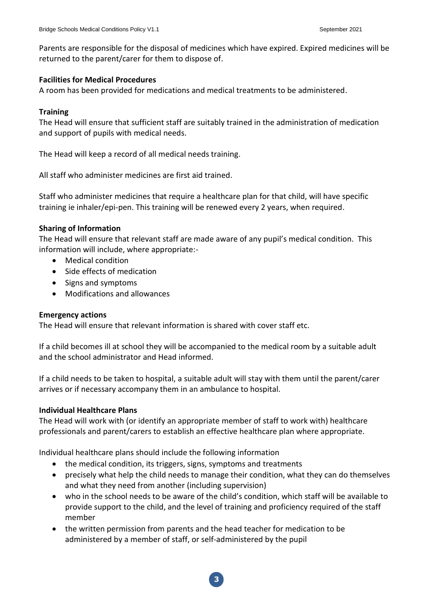Parents are responsible for the disposal of medicines which have expired. Expired medicines will be returned to the parent/carer for them to dispose of.

#### **Facilities for Medical Procedures**

A room has been provided for medications and medical treatments to be administered.

#### **Training**

The Head will ensure that sufficient staff are suitably trained in the administration of medication and support of pupils with medical needs.

The Head will keep a record of all medical needs training.

All staff who administer medicines are first aid trained.

Staff who administer medicines that require a healthcare plan for that child, will have specific training ie inhaler/epi-pen. This training will be renewed every 2 years, when required.

#### **Sharing of Information**

The Head will ensure that relevant staff are made aware of any pupil's medical condition. This information will include, where appropriate:-

- Medical condition
- Side effects of medication
- Signs and symptoms
- Modifications and allowances

#### **Emergency actions**

The Head will ensure that relevant information is shared with cover staff etc.

If a child becomes ill at school they will be accompanied to the medical room by a suitable adult and the school administrator and Head informed.

If a child needs to be taken to hospital, a suitable adult will stay with them until the parent/carer arrives or if necessary accompany them in an ambulance to hospital.

#### **Individual Healthcare Plans**

The Head will work with (or identify an appropriate member of staff to work with) healthcare professionals and parent/carers to establish an effective healthcare plan where appropriate.

Individual healthcare plans should include the following information

- the medical condition, its triggers, signs, symptoms and treatments
- precisely what help the child needs to manage their condition, what they can do themselves and what they need from another (including supervision)
- who in the school needs to be aware of the child's condition, which staff will be available to provide support to the child, and the level of training and proficiency required of the staff member
- the written permission from parents and the head teacher for medication to be administered by a member of staff, or self-administered by the pupil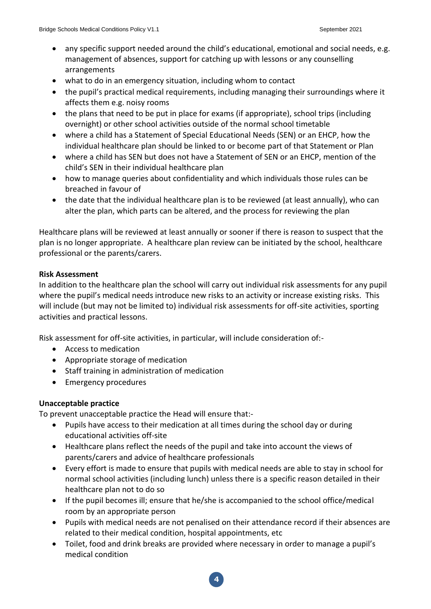- any specific support needed around the child's educational, emotional and social needs, e.g. management of absences, support for catching up with lessons or any counselling arrangements
- what to do in an emergency situation, including whom to contact
- the pupil's practical medical requirements, including managing their surroundings where it affects them e.g. noisy rooms
- the plans that need to be put in place for exams (if appropriate), school trips (including overnight) or other school activities outside of the normal school timetable
- where a child has a Statement of Special Educational Needs (SEN) or an EHCP, how the individual healthcare plan should be linked to or become part of that Statement or Plan
- where a child has SEN but does not have a Statement of SEN or an EHCP, mention of the child's SEN in their individual healthcare plan
- how to manage queries about confidentiality and which individuals those rules can be breached in favour of
- the date that the individual healthcare plan is to be reviewed (at least annually), who can alter the plan, which parts can be altered, and the process for reviewing the plan

Healthcare plans will be reviewed at least annually or sooner if there is reason to suspect that the plan is no longer appropriate. A healthcare plan review can be initiated by the school, healthcare professional or the parents/carers.

## **Risk Assessment**

In addition to the healthcare plan the school will carry out individual risk assessments for any pupil where the pupil's medical needs introduce new risks to an activity or increase existing risks. This will include (but may not be limited to) individual risk assessments for off-site activities, sporting activities and practical lessons.

Risk assessment for off-site activities, in particular, will include consideration of:-

- Access to medication
- Appropriate storage of medication
- Staff training in administration of medication
- Emergency procedures

#### **Unacceptable practice**

To prevent unacceptable practice the Head will ensure that:-

- Pupils have access to their medication at all times during the school day or during educational activities off-site
- Healthcare plans reflect the needs of the pupil and take into account the views of parents/carers and advice of healthcare professionals
- Every effort is made to ensure that pupils with medical needs are able to stay in school for normal school activities (including lunch) unless there is a specific reason detailed in their healthcare plan not to do so
- If the pupil becomes ill; ensure that he/she is accompanied to the school office/medical room by an appropriate person
- Pupils with medical needs are not penalised on their attendance record if their absences are related to their medical condition, hospital appointments, etc
- Toilet, food and drink breaks are provided where necessary in order to manage a pupil's medical condition